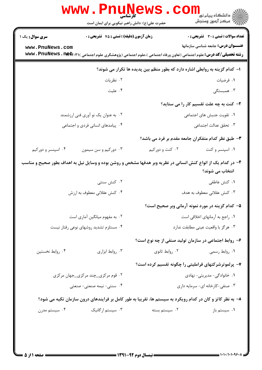|                                                                                                                                 | <b>www.PnuNews</b><br>كارشناسه<br>حضرت علی(ع): دانش راهبر نیکویی برای ایمان است |                                                                                                                                   | ڪ دانشڪاه پيا <sub>م</sub> نور<br>۾ مرڪز آزمون وسنڊش |  |  |
|---------------------------------------------------------------------------------------------------------------------------------|---------------------------------------------------------------------------------|-----------------------------------------------------------------------------------------------------------------------------------|------------------------------------------------------|--|--|
| <b>سری سوال :</b> یک ۱                                                                                                          | زمان آزمون (دقیقه) : تستی : 75 تشریحی : 0                                       |                                                                                                                                   | <b>تعداد سوالات : تستی : 30 ٪ تشریحی : 0</b>         |  |  |
| www.PnuNews.com                                                                                                                 |                                                                                 | <b>رشته تحصیلی/کد درس:</b> علوم اجتماعی (تعاون ورفاه اجتماعی )،علوم اجتماعی (پژوهشگری علوم اجتماعی ) <b>\ www . PnuNews . net</b> | <b>عنـــوان درس:</b> جامعه شناسی سازمانها            |  |  |
| ا– كدام گزينه به روابطي اشاره دارد كه بطور منظم بين پديده ها تكرار مي شوند؟                                                     |                                                                                 |                                                                                                                                   |                                                      |  |  |
|                                                                                                                                 | ۰۲ نظریات                                                                       |                                                                                                                                   | ٠١ فرضيات                                            |  |  |
|                                                                                                                                 | ۰۴ علیت                                                                         |                                                                                                                                   | ۰۳ همبستگی                                           |  |  |
|                                                                                                                                 |                                                                                 |                                                                                                                                   | ۲- کنت به چه علت تقسیم کار را می ستاید؟              |  |  |
|                                                                                                                                 | ۰۲ به عنوان یک نو آوری فنی ارزشمند                                              |                                                                                                                                   | ٠١. تقويت جنبش هاى اجتماعى                           |  |  |
| ۰۴ پیامدهای انسانی فردی و اجتماعی                                                                                               |                                                                                 |                                                                                                                                   | ۰۳ تحقق عدالت اجتماعی                                |  |  |
| ۳- طبق نظر کدام متفکران جامعه مقدم بر فرد می باشد؟                                                                              |                                                                                 |                                                                                                                                   |                                                      |  |  |
| ۰۴ اسپنسر و دورکیم                                                                                                              | ۰۳ دورکیم و سن سیمون                                                            | ۰۲ کنت و دورکیم                                                                                                                   | ۰۱ اسپنسر و کنت                                      |  |  |
| ۴– در کدام یک از انواع کنش انسانی در نظریه وبر هدفها مشخص و روشن بوده و وسایل نیل به اهداف بطور صحیح و مناسب<br>انتخاب می شوند؟ |                                                                                 |                                                                                                                                   |                                                      |  |  |
|                                                                                                                                 | ۰۲ کنش سنتی                                                                     |                                                                                                                                   | ٠١ كنش عاطفى                                         |  |  |
| ۰۴ کنش عقلانی معطوف به ارزش                                                                                                     |                                                                                 | ۰۳ کنش عقلانی معطوف به هدف                                                                                                        |                                                      |  |  |
|                                                                                                                                 |                                                                                 |                                                                                                                                   | ۵– کدام گزینه در مورد نمونه آرمانی وبر صحیح است؟     |  |  |
| ۰۲ به مفهوم میانگین آماری است                                                                                                   |                                                                                 |                                                                                                                                   | ٠١. راجع به آرمانهاي اخلاقي است                      |  |  |
| ۰۴ مستلزم تشدید روشهای نوعی رفتار نیست                                                                                          |                                                                                 | ٠٣ هرگز با واقعيت عيني مطابقت ندارد                                                                                               |                                                      |  |  |
|                                                                                                                                 |                                                                                 |                                                                                                                                   | ۶- روابط اجتماعی در سازمان تولید صنفی از چه نوع است؟ |  |  |
| ۰۴ روابط نخستين                                                                                                                 | ۰۳ روابط ابزاری                                                                 | ۰۲ روابط ثانوي                                                                                                                    | ۰۱ روابط رسمی                                        |  |  |
|                                                                                                                                 |                                                                                 |                                                                                                                                   | ۷– پرلموترشرکتهای فراملیتی را چگونه تقسیم کرده است؟  |  |  |
|                                                                                                                                 | ۰۲ قوم مرکز <u>ی چ</u> ند مرکز <u>ی جه</u> ان مرکزی                             |                                                                                                                                   | ۰۱ خانوادگی- مدیریتی- نهادی                          |  |  |
| ۰۴ سنتی- نیمه صنعتی- صنعتی                                                                                                      |                                                                                 | ۰۳ صنفی-کارخانه ای- سرمایه داری                                                                                                   |                                                      |  |  |
| ۸– به نظر کاتز و کان در کدام رویکرد به سیستم ها، تقریبا به طور کامل بر فرایندهای درون سازمان تکیه می شود؟                       |                                                                                 |                                                                                                                                   |                                                      |  |  |
| ۰۴ سیستم مدرن                                                                                                                   | ۰۳ سیستم ارگانیک                                                                | ۰۲ سیستم بسته                                                                                                                     | ۰۱ سیستم باز                                         |  |  |
|                                                                                                                                 |                                                                                 |                                                                                                                                   |                                                      |  |  |
|                                                                                                                                 |                                                                                 |                                                                                                                                   |                                                      |  |  |
|                                                                                                                                 |                                                                                 |                                                                                                                                   |                                                      |  |  |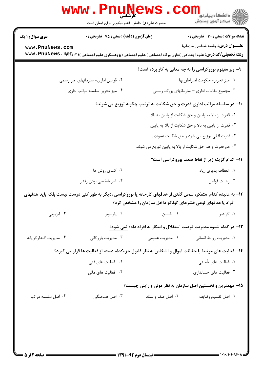|                                                                        |                                                                                                                                   | حضرت علی(ع): دانش راهبر نیکویی برای ایمان است | ري دانشڪاه پيام نور LLL<br>ا <mark>ر</mark> ≫ مرڪز آزمون وسنڊش       |  |  |
|------------------------------------------------------------------------|-----------------------------------------------------------------------------------------------------------------------------------|-----------------------------------------------|----------------------------------------------------------------------|--|--|
| سری سوال: ۱ یک                                                         | زمان آزمون (دقیقه) : تستی : 75 گشریحی : 0                                                                                         |                                               | <b>تعداد سوالات : تستی : 30 ٪ تشریحی : 0</b>                         |  |  |
| www.PnuNews.com                                                        | <b>رشته تحصیلی/کد درس:</b> علوم اجتماعی (تعاون ورفاه اجتماعی )،علوم اجتماعی (پژوهشگری علوم اجتماعی ) <b>\ www . PnuNews . net</b> |                                               | <b>عنـــوان درس:</b> جامعه شناسی سازمانها                            |  |  |
|                                                                        |                                                                                                                                   |                                               | ۹- وبر مفهوم بوروکراسی را به چه معانی به کار برده است؟               |  |  |
|                                                                        | ۰۲ قوانین اداری- سازمانهای غیر رسمی                                                                                               |                                               | ٠١. ميز تحرير-حكومت امپراطوريها                                      |  |  |
|                                                                        | ۰۴ میز تحریر-سلسله مراتب اداری                                                                                                    |                                               | ۰۳ مجموع مقامات اداری – سازمانهای بزرگ رسمی                          |  |  |
| ∙۱- در سلسله مراتب اداری قدرت و حق شکایت به ترتیب چگونه توزیع می شوند؟ |                                                                                                                                   |                                               |                                                                      |  |  |
|                                                                        |                                                                                                                                   |                                               | ۰۱ قدرت از بالا به پایین و حق شکایت از پایین به بالا                 |  |  |
|                                                                        |                                                                                                                                   |                                               | ۰۲ قدرت از پایین به بالا و حق شکایت از بالا یه پایین                 |  |  |
|                                                                        |                                                                                                                                   |                                               | ۰۳ قدرت افقی توزیع می شود و حق شکایت عمودی                           |  |  |
|                                                                        |                                                                                                                                   |                                               | ۰۴ هم قدرت و هم حق شکایت از بالا به پایین توزیع می شوند.             |  |  |
|                                                                        |                                                                                                                                   |                                               | 11- كدام گزينه زير از نقاط ضعف بوروكراسي است؟                        |  |  |
|                                                                        | ۰۲ کندی روش ها                                                                                                                    |                                               | ۰۱ انعطاف پذیری زیاد                                                 |  |  |
|                                                                        | ۰۴ غیر شخصی بودن رفتار                                                                                                            |                                               | ۰۳ رعايت قوانين                                                      |  |  |
|                                                                        | ۱۲– به عقیده کدام ًمتفکر، سخن گفتن از هدفهای کارخانه یا بوروکراسی ،دیگر به طور کلی درست نیست بلکه باید هدفهای                     |                                               | افراد یا هدفهای نوعی قشرهای گوناگو داخل سازمان را مشخص کرد؟          |  |  |
| ۰۴ اتزیونی                                                             | ۰۳ پارسونز                                                                                                                        | ۰۲ تامسن                                      | ۰۱ گولدنر                                                            |  |  |
|                                                                        |                                                                                                                                   |                                               | ۱۳- در کدام شیوه مدیریت فرصت استقلال و ابتکار به افراد داده نمی شود؟ |  |  |
| ۰۴ مدیریت اقتدار گرایانه                                               | ۰۳ مدیریت بازر گانی                                                                                                               | ۰۲ مدیریت عمومی                               | ۰۱ مدیریت روابط انسانی                                               |  |  |
|                                                                        | ۱۴- فعالیت های مرتبط با حفاظت اموال و اشخاص به نظر فایول جزءکدام دسته از فعالیت ها قرار می گیرد؟                                  |                                               |                                                                      |  |  |
|                                                                        | ۰۲ فعالیت های فنی                                                                                                                 |                                               | ۰۱ فعالیت های تأمینی                                                 |  |  |
|                                                                        | ۰۴ فعالیت های مالی                                                                                                                |                                               | ۰۳ فعالیت های حسابداری                                               |  |  |
|                                                                        |                                                                                                                                   |                                               | ۱۵– مهمترین و نخستین اصل سازمان به نظر مونی و رایلی چیست؟            |  |  |
| ۰۴ اصل سلسله مراتب                                                     | ۰۳ اصل هماهنگی                                                                                                                    | ۰۲ اصل صف و ستاد                              | ٠١. اصل تقسيم وظايف                                                  |  |  |
|                                                                        |                                                                                                                                   |                                               |                                                                      |  |  |
|                                                                        |                                                                                                                                   |                                               |                                                                      |  |  |
|                                                                        |                                                                                                                                   |                                               |                                                                      |  |  |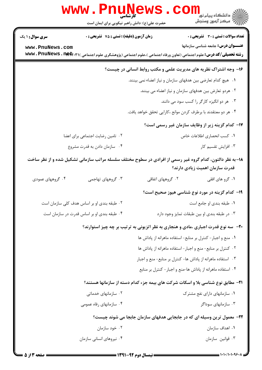|                                                                                                                                             | <b>WWW.PNUNET</b><br><b>کارشناسی</b><br>حضرت علی(ع): دانش راهبر نیکویی برای ایمان است |                                                               | ر دانشڪاه پيام نور ■<br>// مرکز آزمون وسنڊش                                                                                             |
|---------------------------------------------------------------------------------------------------------------------------------------------|---------------------------------------------------------------------------------------|---------------------------------------------------------------|-----------------------------------------------------------------------------------------------------------------------------------------|
| <b>سری سوال : ۱ یک</b>                                                                                                                      | زمان آزمون (دقیقه) : تستی : 75 ٪ تشریحی : 0                                           |                                                               | تعداد سوالات : تستي : 30 - تشريحي : 0                                                                                                   |
| www.PnuNews.com                                                                                                                             |                                                                                       |                                                               | <b>عنـــوان درس:</b> جامعه شناسی سازمانها                                                                                               |
|                                                                                                                                             |                                                                                       |                                                               | <b>رشته تحصیلی/کد درس:</b> علوم اجتماعی (تعاون ورفاه اجتماعی )،علوم اجتماعی (پژوهشگری علوم اجتماعی ) ( <b>www . PnuNews . nety. r</b> ) |
| ۱۶- وجه اشتراک نظریه های مدیریت علمی و مکتب روابط انسانی در چیست؟                                                                           |                                                                                       |                                                               |                                                                                                                                         |
|                                                                                                                                             |                                                                                       | ۰۱ هیچ کدام تعارضی بین هدفهای سازمان و نیاز اعضاء نمی بینند.  |                                                                                                                                         |
|                                                                                                                                             |                                                                                       |                                                               | ۰۲ هردو تعارض بین هدفهای سازمان و نیاز اعضاء می بینند.                                                                                  |
|                                                                                                                                             |                                                                                       |                                                               | ۰۳ هر دو انگیزه کارگر را کسب سود می دانند.                                                                                              |
|                                                                                                                                             |                                                                                       | ۰۴ هر دو معتقدند با برطرف کردن موانع ،کارایی تحقق خواهد یافت. |                                                                                                                                         |
|                                                                                                                                             |                                                                                       |                                                               | ۱۷– کدام گزینه زیر از وظایف سازمان غیر رسمی است؟                                                                                        |
| ۰۲ تامین رضایت اجتماعی برای اعضا                                                                                                            |                                                                                       | ٠١ كسب انحصاري اطلاعات خاص                                    |                                                                                                                                         |
|                                                                                                                                             | ۰۴ سازمان دادن به قدرت مشروع                                                          |                                                               | ۰۳ افزایش تقسیم کار                                                                                                                     |
| ۱۸– به نظر دالتون، کدام گروه غیر رسمی از افرادی در سطوح مختلف سلسله مراتب سازمانی تشکیل شده و از نظر ساخت<br>قدرت سازمان اهمیت زیادی دارند؟ |                                                                                       |                                                               |                                                                                                                                         |
| ۰۴ گروههای عمودی                                                                                                                            | ۰۳ گروههای تهاجمی                                                                     | ۰۲ گروههای اتفاقی                                             | ۰۱ گرو های افقی                                                                                                                         |
|                                                                                                                                             |                                                                                       |                                                               | ۱۹- کدام گزینه در مورد نوع شناسی هیوز صحیح است؟                                                                                         |
|                                                                                                                                             | ۰۲ طبقه بندی او بر اساس هدف کلی سازمان است                                            |                                                               | ۰۱ طبقه بندی او جامع است                                                                                                                |
|                                                                                                                                             | ۰۴ طبقه بندی او بر اساس قدرت در سازمان است                                            | ۰۳ در طبقه بندی او بین طبقات تمایز وجود دارد                  |                                                                                                                                         |
|                                                                                                                                             |                                                                                       |                                                               | <b>۲۰</b> - سه نوع قدرت اجباری ،مادی و هنجاری به نظر اتزیونی به ترتیب بر چه چیز استوارند؟                                               |
|                                                                                                                                             |                                                                                       |                                                               | ٠١ منع و اجبار - كنترل بر منابع- استفاده ماهرانه از پاداش ها                                                                            |
|                                                                                                                                             |                                                                                       |                                                               | ٠٢ كنترل بر منابع- منع و اجبار- استفاده ماهرانه از پاداش ها                                                                             |
|                                                                                                                                             |                                                                                       |                                                               | ۰۳ استفاده ماهرانه از پاداش ها- کنترل بر منابع- منع و اجبار                                                                             |
|                                                                                                                                             |                                                                                       |                                                               | ۰۴ استفاده ماهرانه از پاداش ها-منع و اجبار- کنترل بر منابع                                                                              |
|                                                                                                                                             |                                                                                       |                                                               | <b>۲۱</b> - مطابق نوع شناسی بلا و اسکات شرکت های بیمه جزء کدام دسته از سازمانها هستند؟                                                  |
|                                                                                                                                             | ۰۲ سازمانهای خدماتی                                                                   | ۰۱ سازمانهای دارای نفع مشترک                                  |                                                                                                                                         |
|                                                                                                                                             | ۰۴ سازمانهای رفاه عمومی                                                               |                                                               | ۰۳ سازمانهای سوداگر                                                                                                                     |
|                                                                                                                                             |                                                                                       |                                                               | ۲۲- معمول ترین وسیله ای که در جابجایی هدفهای سازمان جابجا می شوند چیست؟                                                                 |
|                                                                                                                                             | ۰۲ خود سازمان                                                                         |                                                               | ٠١. اهداف سازمان                                                                                                                        |
|                                                                                                                                             | ۰۴ نیروهای انسانی سازمان                                                              |                                                               | ۰۳ قوانين سازمان                                                                                                                        |
|                                                                                                                                             |                                                                                       |                                                               |                                                                                                                                         |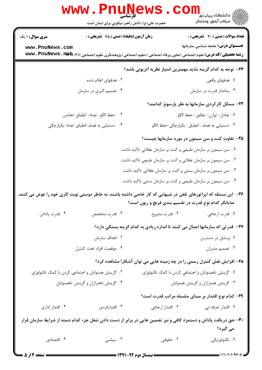|                                                                                                                                   | www.PnuNews<br>حضرت علی(ع): دانش راهبر نیکویی برای ایمان است                                                    |                                                               | الاد دانشگاه پيام نور<br>الاس مرکز آزمون وسنجش                                             |  |  |
|-----------------------------------------------------------------------------------------------------------------------------------|-----------------------------------------------------------------------------------------------------------------|---------------------------------------------------------------|--------------------------------------------------------------------------------------------|--|--|
| <b>سری سوال : ۱ یک</b>                                                                                                            | زمان آزمون (دقیقه) : تستی : 75 آتشریحی : 0                                                                      |                                                               | تعداد سوالات : تستي : 30 - تشريحي : 0                                                      |  |  |
| www.PnuNews.com                                                                                                                   |                                                                                                                 |                                                               | <b>عنـــوان درس:</b> جامعه شناسی سازمانها                                                  |  |  |
| <b>رشته تحصیلی/کد درس:</b> علوم اجتماعی (تعاون ورفاه اجتماعی )،علوم اجتماعی (پژوهشگری علوم اجتماعی ) ( <b>www . PnuNews . net</b> |                                                                                                                 |                                                               |                                                                                            |  |  |
|                                                                                                                                   |                                                                                                                 |                                                               | ۲۳−  توجه به کدام گزینه شاید مهمترین امتیاز نظریه اتزیونی باشد؟                            |  |  |
|                                                                                                                                   | ۰۲ هدفهای اعلام شده<br>۰۴ تصمیم گیری در سازمان                                                                  |                                                               | ۰۱ هدفهای واقعی<br>۰۳ ساختار قدرت در سازمان                                                |  |  |
|                                                                                                                                   |                                                                                                                 |                                                               |                                                                                            |  |  |
|                                                                                                                                   |                                                                                                                 |                                                               | ۲۴– مسائل کارکردی سازمانها به نظر پارسونز کدامند؟                                          |  |  |
|                                                                                                                                   | ٢. حفظ الكو- تضاد- انطباق-تجانس<br>۰۴ دستیابی به هدف-انطباق-تضاد-یکپارچگی                                       |                                                               | ٠١. تعادل- توازن- تطابق- حفظ الگو<br>۰۳ دستیابی به هدف- انطباق- یکپارچ <i>گی-حف</i> ظ الگو |  |  |
|                                                                                                                                   |                                                                                                                 |                                                               |                                                                                            |  |  |
|                                                                                                                                   |                                                                                                                 |                                                               | ۲۵- تفاوت کنت و سن سیمون در مورد سازمانها چیست؟                                            |  |  |
|                                                                                                                                   |                                                                                                                 | ۰۱ سن سیمون بر سازمان طبیعی و کنت بر سازمان عقلانی تاکید داشت |                                                                                            |  |  |
|                                                                                                                                   |                                                                                                                 | ۰۲ سن سیمون بر سازمان عقلانی و کنت بر سازمان طبیعی تاکید داشت |                                                                                            |  |  |
|                                                                                                                                   |                                                                                                                 | ۰۳ سن سیمون بر سازمان سنتی و کنت بر سازمان عقلانی تاکید داشت  |                                                                                            |  |  |
|                                                                                                                                   |                                                                                                                 | ۰۴ سن سیمون بر سازمان طبیعی و کنت بر سازمان سنتی تاکید داشت   |                                                                                            |  |  |
|                                                                                                                                   | ۲۶– آین مسئله که اپراتورهای تلفن در شبهایی که کار خاصی داشته باشند، به خاطر دوستی نوبت کاری خود را عوض می کنند، | نمایانگر کدام نوع قدرت در تقسیم بندی فرنچ و ریون است؟         |                                                                                            |  |  |
| ۰۴ قدرت پاداش                                                                                                                     | ۰۳ قدرت متخصص                                                                                                   | ۰۲ قدرت مشروع                                                 | ۰۱ قدرت ارجاعي                                                                             |  |  |
|                                                                                                                                   |                                                                                                                 |                                                               | ۲۷– قدرتی که سازمانها اعمال می کنند تا اندازه زیادی به کدام گزینه بستگی دارد؟              |  |  |
|                                                                                                                                   | ۰۲ اهداف سازمان                                                                                                 |                                                               | ۰۱ وسایل در دسترس                                                                          |  |  |
|                                                                                                                                   | ۰۴ موقعیت افراد تحت کنترل                                                                                       |                                                               | ۰۳ تصمیم مدیران                                                                            |  |  |
|                                                                                                                                   |                                                                                                                 |                                                               | ۲۸- افزایش نقش کنترل رسمی را در چه زمینه هایی می توان آشکارا مشاهده کرد؟                   |  |  |
|                                                                                                                                   | ۰۲ گزینش همنوایان و اجتماعی کردن با کمک تکنولوژی                                                                |                                                               | ۰۱ گزینش ناهمنوایان و اجتماعی کردن با کمک تکنولوژی                                         |  |  |
|                                                                                                                                   | ۰۴ گزینش ناهترازان و گزینش ناهمنوایان                                                                           |                                                               | ۰۳ گزینش همترازان و گزینش همنوایان                                                         |  |  |
|                                                                                                                                   |                                                                                                                 |                                                               | <b>۲۹</b> – کدام نوع اقتدار بر مبنای سلسله مراتب قدرت است؟                                 |  |  |
| ۰۴ اقتدار اداری                                                                                                                   | ۰۳ اقتدارفردی                                                                                                   | ٠٢ اقتدار ارجاعي                                              | ۰۱ اقتدار حرفه ایی                                                                         |  |  |
|                                                                                                                                   | ۳۰– حق دریافت پاداش و دستمزد کافی و نیز تضمین هایی در برابر از دست دادن شغل جزء کدام دسته از شرایط سازمان قرار  |                                                               |                                                                                            |  |  |
|                                                                                                                                   |                                                                                                                 |                                                               | می گیرد؟                                                                                   |  |  |
| ۰۴ اقتصادی                                                                                                                        | ۰۳ سیاسی                                                                                                        | ۰۲ حقوقی                                                      | ۰۱ تکنولوژیکی                                                                              |  |  |
|                                                                                                                                   |                                                                                                                 |                                                               |                                                                                            |  |  |